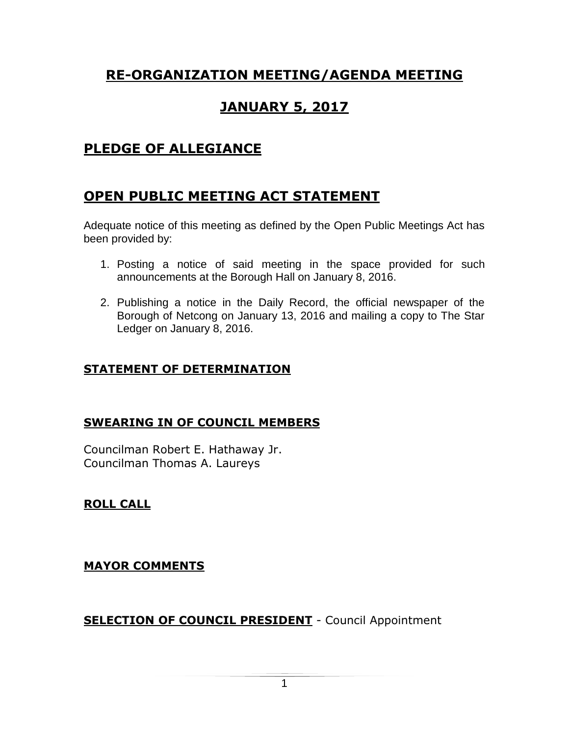# **RE-ORGANIZATION MEETING/AGENDA MEETING**

# **JANUARY 5, 2017**

# **PLEDGE OF ALLEGIANCE**

# **OPEN PUBLIC MEETING ACT STATEMENT**

Adequate notice of this meeting as defined by the Open Public Meetings Act has been provided by:

- 1. Posting a notice of said meeting in the space provided for such announcements at the Borough Hall on January 8, 2016.
- 2. Publishing a notice in the Daily Record, the official newspaper of the Borough of Netcong on January 13, 2016 and mailing a copy to The Star Ledger on January 8, 2016.

# **STATEMENT OF DETERMINATION**

# **SWEARING IN OF COUNCIL MEMBERS**

Councilman Robert E. Hathaway Jr. Councilman Thomas A. Laureys

# **ROLL CALL**

# **MAYOR COMMENTS**

**SELECTION OF COUNCIL PRESIDENT** - Council Appointment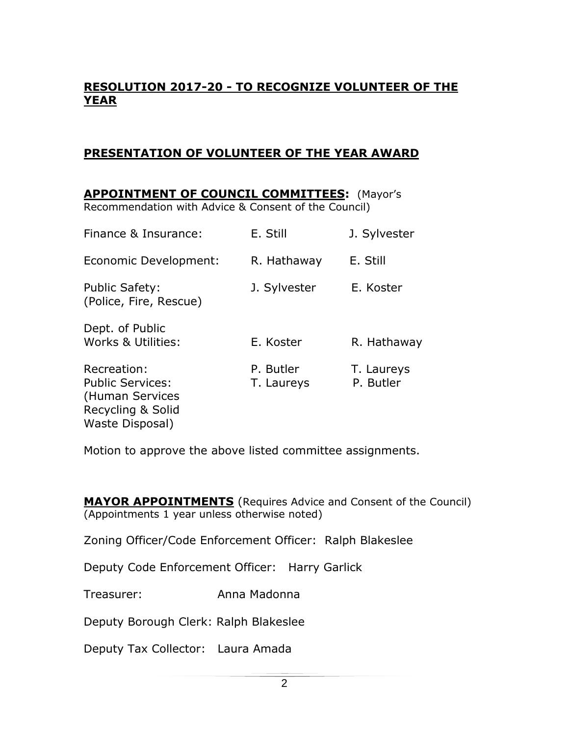## **RESOLUTION 2017-20 - TO RECOGNIZE VOLUNTEER OF THE YEAR**

#### **PRESENTATION OF VOLUNTEER OF THE YEAR AWARD**

**APPOINTMENT OF COUNCIL COMMITTEES:** (Mayor's Recommendation with Advice & Consent of the Council) Finance & Insurance: E. Still J. Sylvester Economic Development: R. Hathaway E. Still Public Safety: **J. Sylvester** E. Koster (Police, Fire, Rescue) Dept. of Public Works & Utilities: E. Koster R. Hathaway Recreation: P. Butler T. Laureys Public Services: T. Laureys P. Butler (Human Services Recycling & Solid Waste Disposal)

Motion to approve the above listed committee assignments.

**MAYOR APPOINTMENTS** (Requires Advice and Consent of the Council) (Appointments 1 year unless otherwise noted)

Zoning Officer/Code Enforcement Officer: Ralph Blakeslee

Deputy Code Enforcement Officer: Harry Garlick

Treasurer: Anna Madonna

Deputy Borough Clerk: Ralph Blakeslee

Deputy Tax Collector: Laura Amada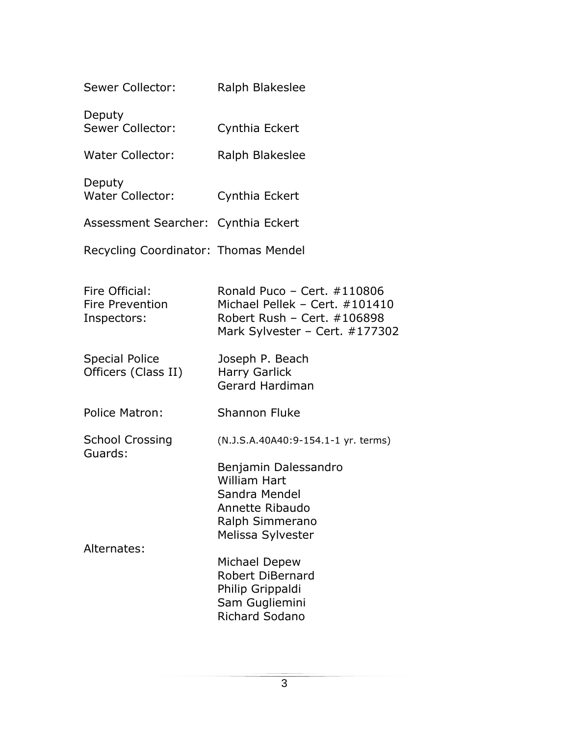| Ralph Blakeslee                                                                                                                                                                                                                                                           |
|---------------------------------------------------------------------------------------------------------------------------------------------------------------------------------------------------------------------------------------------------------------------------|
| Cynthia Eckert                                                                                                                                                                                                                                                            |
| Ralph Blakeslee                                                                                                                                                                                                                                                           |
| Cynthia Eckert                                                                                                                                                                                                                                                            |
| Assessment Searcher: Cynthia Eckert                                                                                                                                                                                                                                       |
| Recycling Coordinator: Thomas Mendel                                                                                                                                                                                                                                      |
| Ronald Puco - Cert. $\#110806$<br>Michael Pellek - Cert. #101410<br>Robert Rush - Cert. #106898<br>Mark Sylvester – Cert. $\#177302$                                                                                                                                      |
| Joseph P. Beach<br><b>Harry Garlick</b><br><b>Gerard Hardiman</b>                                                                                                                                                                                                         |
| <b>Shannon Fluke</b>                                                                                                                                                                                                                                                      |
| (N.J.S.A.40A40:9-154.1-1 yr. terms)<br>Benjamin Dalessandro<br><b>William Hart</b><br>Sandra Mendel<br>Annette Ribaudo<br>Ralph Simmerano<br>Melissa Sylvester<br>Michael Depew<br><b>Robert DiBernard</b><br>Philip Grippaldi<br>Sam Gugliemini<br><b>Richard Sodano</b> |
|                                                                                                                                                                                                                                                                           |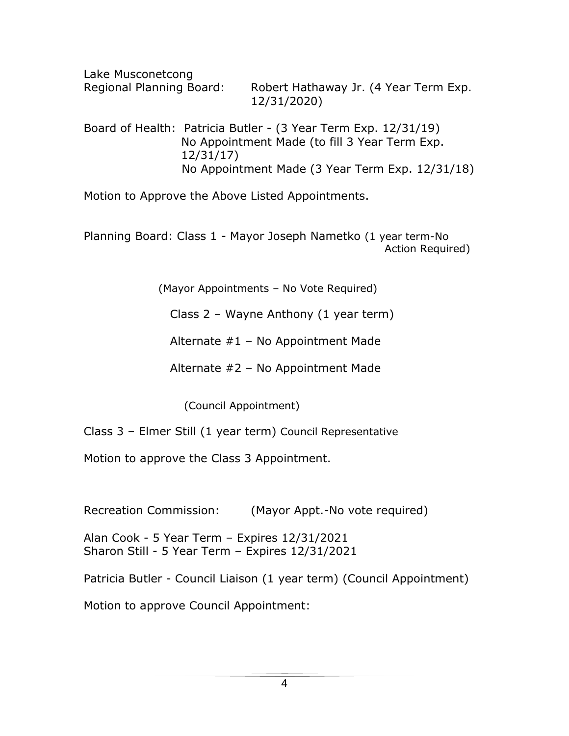Lake Musconetcong Regional Planning Board: Robert Hathaway Jr. (4 Year Term Exp. 12/31/2020)

Board of Health: Patricia Butler - (3 Year Term Exp. 12/31/19) No Appointment Made (to fill 3 Year Term Exp. 12/31/17) No Appointment Made (3 Year Term Exp. 12/31/18)

Motion to Approve the Above Listed Appointments.

Planning Board: Class 1 - Mayor Joseph Nametko (1 year term-No Action Required)

(Mayor Appointments – No Vote Required)

Class 2 – Wayne Anthony (1 year term)

Alternate  $#1 - No$  Appointment Made

Alternate #2 – No Appointment Made

(Council Appointment)

Class 3 – Elmer Still (1 year term) Council Representative

Motion to approve the Class 3 Appointment.

Recreation Commission: (Mayor Appt.-No vote required)

Alan Cook - 5 Year Term – Expires 12/31/2021 Sharon Still - 5 Year Term – Expires 12/31/2021

Patricia Butler - Council Liaison (1 year term) (Council Appointment)

Motion to approve Council Appointment: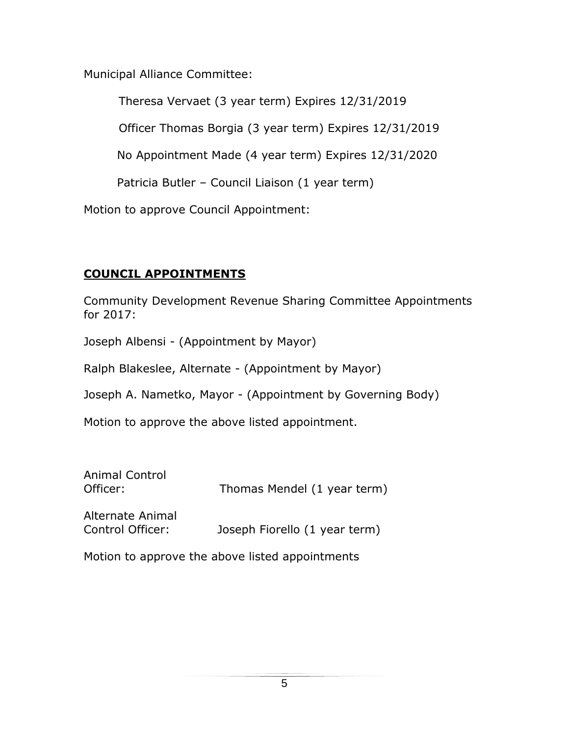Municipal Alliance Committee:

Theresa Vervaet (3 year term) Expires 12/31/2019

Officer Thomas Borgia (3 year term) Expires 12/31/2019

No Appointment Made (4 year term) Expires 12/31/2020

Patricia Butler – Council Liaison (1 year term)

Motion to approve Council Appointment:

# **COUNCIL APPOINTMENTS**

Community Development Revenue Sharing Committee Appointments for 2017:

Joseph Albensi - (Appointment by Mayor)

Ralph Blakeslee, Alternate - (Appointment by Mayor)

Joseph A. Nametko, Mayor - (Appointment by Governing Body)

Motion to approve the above listed appointment.

| Animal Control<br>Officer:           | Thomas Mendel (1 year term)   |
|--------------------------------------|-------------------------------|
| Alternate Animal<br>Control Officer: | Joseph Fiorello (1 year term) |

Motion to approve the above listed appointments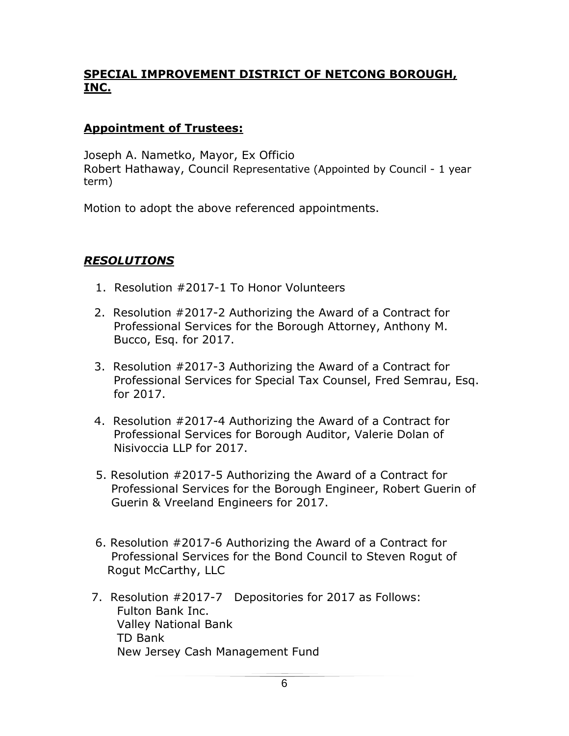# **SPECIAL IMPROVEMENT DISTRICT OF NETCONG BOROUGH, INC.**

### **Appointment of Trustees:**

Joseph A. Nametko, Mayor, Ex Officio Robert Hathaway, Council Representative (Appointed by Council - 1 year term)

Motion to adopt the above referenced appointments.

### *RESOLUTIONS*

- 1. Resolution #2017-1 To Honor Volunteers
- 2. Resolution #2017-2 Authorizing the Award of a Contract for Professional Services for the Borough Attorney, Anthony M. Bucco, Esq. for 2017.
- 3. Resolution #2017-3 Authorizing the Award of a Contract for Professional Services for Special Tax Counsel, Fred Semrau, Esq. for 2017.
- 4. Resolution #2017-4 Authorizing the Award of a Contract for Professional Services for Borough Auditor, Valerie Dolan of Nisivoccia LLP for 2017.
- 5. Resolution #2017-5 Authorizing the Award of a Contract for Professional Services for the Borough Engineer, Robert Guerin of Guerin & Vreeland Engineers for 2017.
- 6. Resolution #2017-6 Authorizing the Award of a Contract for Professional Services for the Bond Council to Steven Rogut of Rogut McCarthy, LLC
- 7. Resolution #2017-7 Depositories for 2017 as Follows: Fulton Bank Inc. Valley National Bank TD Bank New Jersey Cash Management Fund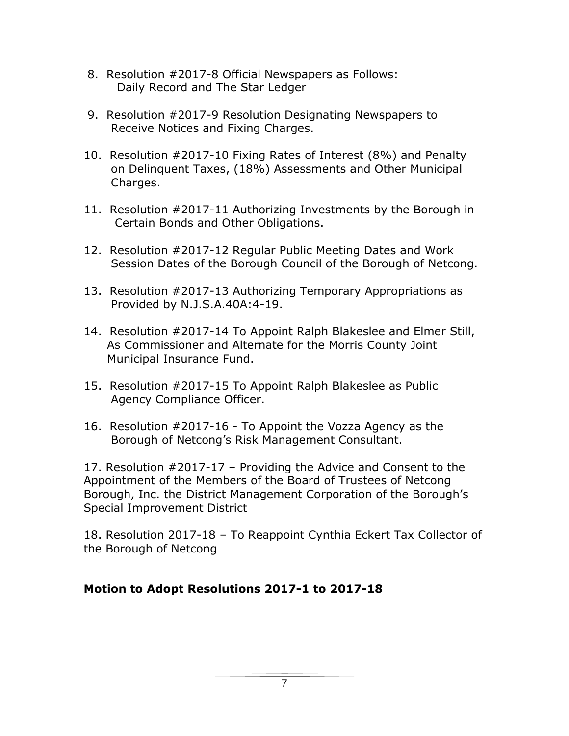- 8. Resolution #2017-8 Official Newspapers as Follows: Daily Record and The Star Ledger
- 9. Resolution #2017-9 Resolution Designating Newspapers to Receive Notices and Fixing Charges.
- 10. Resolution #2017-10 Fixing Rates of Interest (8%) and Penalty on Delinquent Taxes, (18%) Assessments and Other Municipal Charges.
- 11. Resolution #2017-11 Authorizing Investments by the Borough in Certain Bonds and Other Obligations.
- 12. Resolution #2017-12 Regular Public Meeting Dates and Work Session Dates of the Borough Council of the Borough of Netcong.
- 13. Resolution #2017-13 Authorizing Temporary Appropriations as Provided by N.J.S.A.40A:4-19.
- 14. Resolution #2017-14 To Appoint Ralph Blakeslee and Elmer Still, As Commissioner and Alternate for the Morris County Joint Municipal Insurance Fund.
- 15. Resolution #2017-15 To Appoint Ralph Blakeslee as Public Agency Compliance Officer.
- 16. Resolution #2017-16 To Appoint the Vozza Agency as the Borough of Netcong's Risk Management Consultant.

17. Resolution #2017-17 – Providing the Advice and Consent to the Appointment of the Members of the Board of Trustees of Netcong Borough, Inc. the District Management Corporation of the Borough's Special Improvement District

18. Resolution 2017-18 – To Reappoint Cynthia Eckert Tax Collector of the Borough of Netcong

### **Motion to Adopt Resolutions 2017-1 to 2017-18**